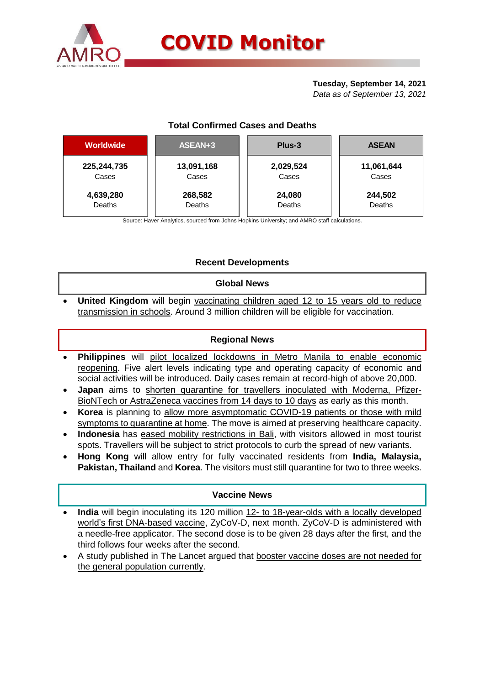

## **Tuesday, September 14, 2021**

*Data as of September 13, 2021*

# **Total Confirmed Cases and Deaths**

| <b>Worldwide</b> | ASEAN+3    | Plus-3    | <b>ASEAN</b> |
|------------------|------------|-----------|--------------|
| 225, 244, 735    | 13,091,168 | 2,029,524 | 11,061,644   |
| Cases            | Cases      | Cases     | Cases        |
| 4,639,280        | 268,582    | 24,080    | 244,502      |
| Deaths           | Deaths     | Deaths    | Deaths       |

Source: Haver Analytics, sourced from Johns Hopkins University; and AMRO staff calculations.

## **Recent Developments**

## **Global News**

 **United Kingdom** will begin vaccinating children aged 12 to 15 years old to reduce transmission in schools. Around 3 million children will be eligible for vaccination.

## **Regional News**

- **Philippines** will pilot localized lockdowns in Metro Manila to enable economic reopening. Five alert levels indicating type and operating capacity of economic and social activities will be introduced. Daily cases remain at record-high of above 20,000.
- **Japan** aims to shorten quarantine for travellers inoculated with Moderna, Pfizer-BioNTech or AstraZeneca vaccines from 14 days to 10 days as early as this month.
- **Korea** is planning to allow more asymptomatic COVID-19 patients or those with mild symptoms to quarantine at home. The move is aimed at preserving healthcare capacity.
- **Indonesia** has eased mobility restrictions in Bali, with visitors allowed in most tourist spots. Travellers will be subject to strict protocols to curb the spread of new variants.
- **Hong Kong** will allow entry for fully vaccinated residents from **India, Malaysia, Pakistan, Thailand** and **Korea**. The visitors must still quarantine for two to three weeks.

## **Vaccine News**

- **India** will begin inoculating its 120 million 12- to 18-year-olds with a locally developed world's first DNA-based vaccine, ZyCoV-D, next month. ZyCoV-D is administered with a needle-free applicator. The second dose is to be given 28 days after the first, and the third follows four weeks after the second.
- A study published in The Lancet argued that booster vaccine doses are not needed for the general population currently.